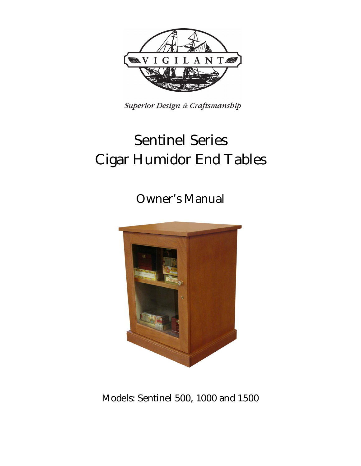

Superior Design & Craftsmanship

# **Sentinel Series Cigar Humidor End Tables**

**Owner's Manual**



**Models: Sentinel 500, 1000 and 1500**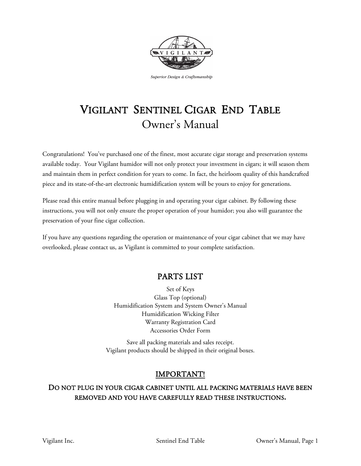

Superior Design & Craftsmanship

## VIGILANT SENTINEL CIGAR END TABLE Owner's Manual

Congratulations! You've purchased one of the finest, most accurate cigar storage and preservation systems available today. Your Vigilant humidor will not only protect your investment in cigars; it will season them and maintain them in perfect condition for years to come. In fact, the heirloom quality of this handcrafted piece and its state-of-the-art electronic humidification system will be yours to enjoy for generations.

Please read this entire manual before plugging in and operating your cigar cabinet. By following these instructions, you will not only ensure the proper operation of your humidor; you also will guarantee the preservation of your fine cigar collection.

If you have any questions regarding the operation or maintenance of your cigar cabinet that we may have overlooked, please contact us, as Vigilant is committed to your complete satisfaction.

### PARTS LIST

Set of Keys Glass Top (optional) Humidification System and System Owner's Manual Humidification Wicking Filter Warranty Registration Card Accessories Order Form

Save all packing materials and sales receipt. Vigilant products should be shipped in their original boxes.

#### IMPORTANT!

#### DO NOT PLUG IN YOUR CIGAR CABINET UNTIL ALL PACKING MATERIALS HAVE BEEN REMOVED AND YOU HAVE CAREFULLY READ THESE INSTRUCTIONS**.**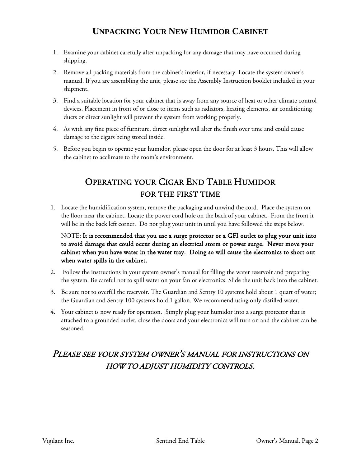## **UNPACKING YOUR NEW HUMIDOR CABINET**

- 1. Examine your cabinet carefully after unpacking for any damage that may have occurred during shipping.
- 2. Remove all packing materials from the cabinet's interior, if necessary. Locate the system owner's manual. If you are assembling the unit, please see the Assembly Instruction booklet included in your shipment.
- 3. Find a suitable location for your cabinet that is away from any source of heat or other climate control devices. Placement in front of or close to items such as radiators, heating elements, air conditioning ducts or direct sunlight will prevent the system from working properly.
- 4. As with any fine piece of furniture, direct sunlight will alter the finish over time and could cause damage to the cigars being stored inside.
- 5. Before you begin to operate your humidor, please open the door for at least 3 hours. This will allow the cabinet to acclimate to the room's environment.

## OPERATING YOUR CIGAR END TABLE HUMIDOR FOR THE FIRST TIME

1. Locate the humidification system, remove the packaging and unwind the cord. Place the system on the floor near the cabinet. Locate the power cord hole on the back of your cabinet. From the front it will be in the back left corner. Do not plug your unit in until you have followed the steps below.

#### NOTE: It is recommended that you use a surge protector or a GFI outlet to plug your unit into to avoid damage that could occur during an electrical storm or power surge. Never move your cabinet when you have water in the water tray. Doing so will cause the electronics to short out when water spills in the cabinet.

- 2. Follow the instructions in your system owner's manual for filling the water reservoir and preparing the system. Be careful not to spill water on your fan or electronics. Slide the unit back into the cabinet.
- 3. Be sure not to overfill the reservoir. The Guardian and Sentry 10 systems hold about 1 quart of water; the Guardian and Sentry 100 systems hold 1 gallon. We recommend using only distilled water.
- 4. Your cabinet is now ready for operation. Simply plug your humidor into a surge protector that is attached to a grounded outlet, close the doors and your electronics will turn on and the cabinet can be seasoned.

## PLEASE SEE YOUR SYSTEM OWNER'S MANUAL FOR INSTRUCTIONS ON HOW TO ADJUST HUMIDITY CONTROLS.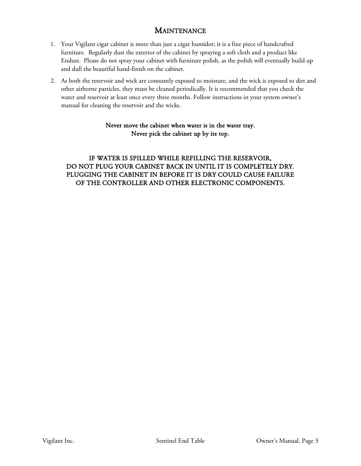#### **MAINTENANCE**

- 1. Your Vigilant cigar cabinet is more than just a cigar humidor; it is a fine piece of handcrafted furniture. Regularly dust the exterior of the cabinet by spraying a soft cloth and a product like Endust. Please do not spray your cabinet with furniture polish, as the polish will eventually build up and dull the beautiful hand-finish on the cabinet.
- 2. As both the reservoir and wick are constantly exposed to moisture, and the wick is exposed to dirt and other airborne particles, they must be cleaned periodically. It is recommended that you check the water and reservoir at least once every three months. Follow instructions in your system owner's manual for cleaning the reservoir and the wicks.

#### Never move the cabinet when water is in the water tray. Never pick the cabinet up by its top.

IF WATER IS SPILLED WHILE REFILLING THE RESERVOIR, DO NOT PLUG YOUR CABINET BACK IN UNTIL IT IS COMPLETELY DRY. PLUGGING THE CABINET IN BEFORE IT IS DRY COULD CAUSE FAILURE OF THE CONTROLLER AND OTHER ELECTRONIC COMPONENTS.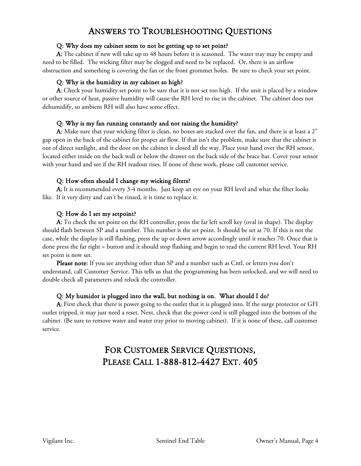## ANSWERS TO TROUBLESHOOTING QUESTIONS

#### Q: Why does my cabinet seem to not be getting up to set point?

A: The cabinet if new will take up to 48 hours before it is seasoned. The water tray may be empty and need to be filled. The wicking filter may be clogged and need to be replaced. Or, there is an airflow obstruction and something is covering the fan or the front grommet holes. Be sure to check your set point.

#### Q: Why is the humidity in my cabinet so high?

A: Check your humidity set point to be sure that it is not set too high. If the unit is placed by a window or other source of heat, passive humidity will cause the RH level to rise in the cabinet. The cabinet does not dehumidify, so ambient RH will also have some effect.

#### Q: Why is my fan running constantly and not raising the humidity?

A: Make sure that your wicking filter is clean, no boxes are stacked over the fan, and there is at least a 2" gap open in the back of the cabinet for proper air flow. If that isn't the problem, make sure that the cabinet is out of direct sunlight, and the door on the cabinet is closed all the way. Place your hand over the RH sensor, located either inside on the back wall or below the drawer on the back side of the brace bar. Cover your sensor with your hand and see if the RH readout rises. If none of these work, please call customer service.

#### Q: How often should I change my wicking filters?

A: It is recommended every 3-4 months. Just keep an eye on your RH level and what the filter looks like. If it very dirty and can't be rinsed, it is time to replace it.

#### Q: How do I set my setpoint?

A: To check the set point on the RH controller, press the far left scroll key (oval in shape). The display should flash between SP and a number. This number is the set point. It should be set at 70. If this is not the case, while the display is still flashing, press the up or down arrow accordingly until it reaches 70. Once that is done press the far right = button and it should stop flashing and begin to read the current RH level. Your RH set point is now set.

Please note: If you see anything other than SP and a number such as Cntl, or letters you don't understand, call Customer Service. This tells us that the programming has been unlocked, and we will need to double check all parameters and relock the controller.

#### Q: My humidor is plugged into the wall, but nothing is on. What should I do?

A: First check that there is power going to the outlet that it is plugged into. If the surge protector or GFI outlet tripped, it may just need a reset. Next, check that the power cord is still plugged into the bottom of the cabinet. (Be sure to remove water and water tray prior to moving cabinet). If it is none of these, call customer service.

## FOR CUSTOMER SERVICE QUESTIONS, PLEASE CALL 1-888-812-4427 EXT. 405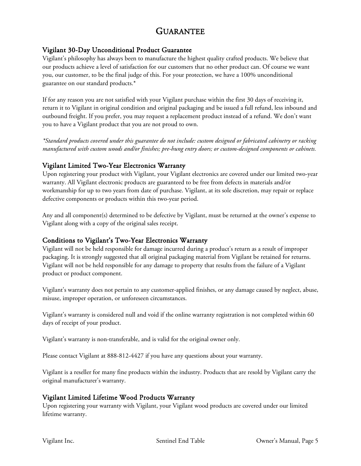## GUARANTEE

#### Vigilant 30-Day Unconditional Product Guarantee

Vigilant's philosophy has always been to manufacture the highest quality crafted products. We believe that our products achieve a level of satisfaction for our customers that no other product can. Of course we want you, our customer, to be the final judge of this. For your protection, we have a 100% unconditional guarantee on our standard products.\*

If for any reason you are not satisfied with your Vigilant purchase within the first 30 days of receiving it, return it to Vigilant in original condition and original packaging and be issued a full refund, less inbound and outbound freight. If you prefer, you may request a replacement product instead of a refund. We don't want you to have a Vigilant product that you are not proud to own.

*\*Standard products covered under this guarantee do not include: custom designed or fabricated cabinetry or racking manufactured with custom woods and/or finishes; pre-hung entry doors; or custom-designed components or cabinets.*

#### Vigilant Limited Two-Year Electronics Warranty

Upon registering your product with Vigilant, your Vigilant electronics are covered under our limited two-year warranty. All Vigilant electronic products are guaranteed to be free from defects in materials and/or workmanship for up to two years from date of purchase. Vigilant, at its sole discretion, may repair or replace defective components or products within this two-year period.

Any and all component(s) determined to be defective by Vigilant, must be returned at the owner's expense to Vigilant along with a copy of the original sales receipt.

#### Conditions to Vigilant's Two-Year Electronics Warranty

Vigilant will not be held responsible for damage incurred during a product's return as a result of improper packaging. It is strongly suggested that all original packaging material from Vigilant be retained for returns. Vigilant will not be held responsible for any damage to property that results from the failure of a Vigilant product or product component.

Vigilant's warranty does not pertain to any customer-applied finishes, or any damage caused by neglect, abuse, misuse, improper operation, or unforeseen circumstances.

Vigilant's warranty is considered null and void if the online warranty registration is not completed within 60 days of receipt of your product.

Vigilant's warranty is non-transferable, and is valid for the original owner only.

Please contact Vigilant at 888-812-4427 if you have any questions about your warranty.

Vigilant is a reseller for many fine products within the industry. Products that are resold by Vigilant carry the original manufacturer's warranty.

#### Vigilant Limited Lifetime Wood Products Warranty

Upon registering your warranty with Vigilant, your Vigilant wood products are covered under our limited lifetime warranty.